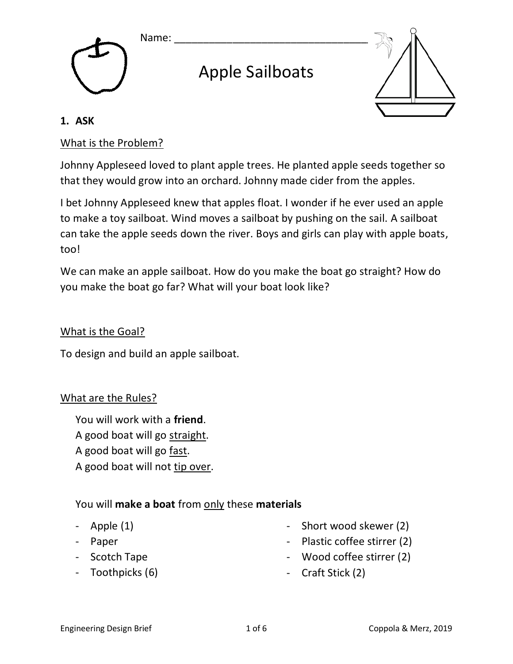



# Apple Sailboats



#### **1. ASK**

## What is the Problem?

Johnny Appleseed loved to plant apple trees. He planted apple seeds together so that they would grow into an orchard. Johnny made cider from the apples.

I bet Johnny Appleseed knew that apples float. I wonder if he ever used an apple to make a toy sailboat. Wind moves a sailboat by pushing on the sail. A sailboat can take the apple seeds down the river. Boys and girls can play with apple boats, too!

We can make an apple sailboat. How do you make the boat go straight? How do you make the boat go far? What will your boat look like?

#### What is the Goal?

To design and build an apple sailboat.

## What are the Rules?

You will work with a **friend**. A good boat will go straight. A good boat will go fast.

A good boat will not tip over.

## You will **make a boat** from only these **materials**

- Apple (1)
- Paper
- Scotch Tape
- Toothpicks (6)
- Short wood skewer (2)
- Plastic coffee stirrer (2)
- Wood coffee stirrer (2)
- Craft Stick (2)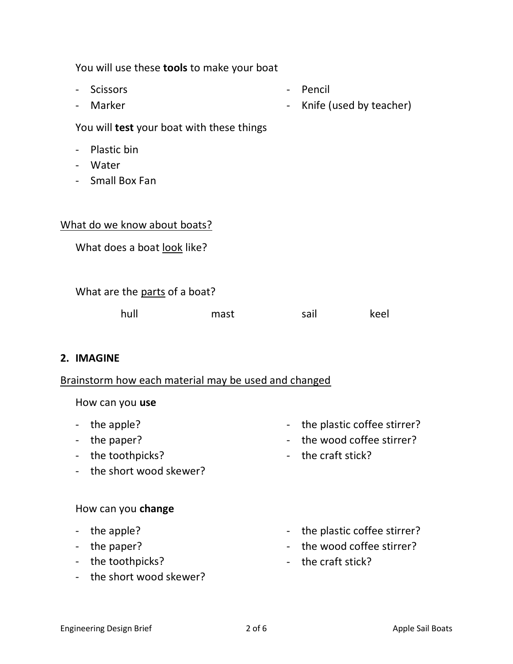|                              | You will use these tools to make your boat           |                                       |      |  |                                   |      |
|------------------------------|------------------------------------------------------|---------------------------------------|------|--|-----------------------------------|------|
|                              | $\overline{\phantom{a}}$<br>$\overline{\phantom{a}}$ | <b>Scissors</b><br>Marker             |      |  | Pencil<br>Knife (used by teacher) |      |
|                              | You will <b>test</b> your boat with these things     |                                       |      |  |                                   |      |
|                              | $\overline{\phantom{0}}$                             | Plastic bin<br>Water<br>Small Box Fan |      |  |                                   |      |
| What do we know about boats? |                                                      |                                       |      |  |                                   |      |
|                              | What does a boat look like?                          |                                       |      |  |                                   |      |
|                              | What are the parts of a boat?                        |                                       |      |  |                                   |      |
|                              |                                                      | hull                                  | mast |  | sail                              | keel |
|                              |                                                      |                                       |      |  |                                   |      |

#### **2. IMAGINE**

## Brainstorm how each material may be used and changed

How can you **use**

- the apple?
- the paper?
- the toothpicks?
- the short wood skewer?

#### How can you **change**

- the apple?
- the paper?
- the toothpicks?
- the short wood skewer?
- the plastic coffee stirrer?
- the wood coffee stirrer?
- the craft stick?
- the plastic coffee stirrer?
- the wood coffee stirrer?
- the craft stick?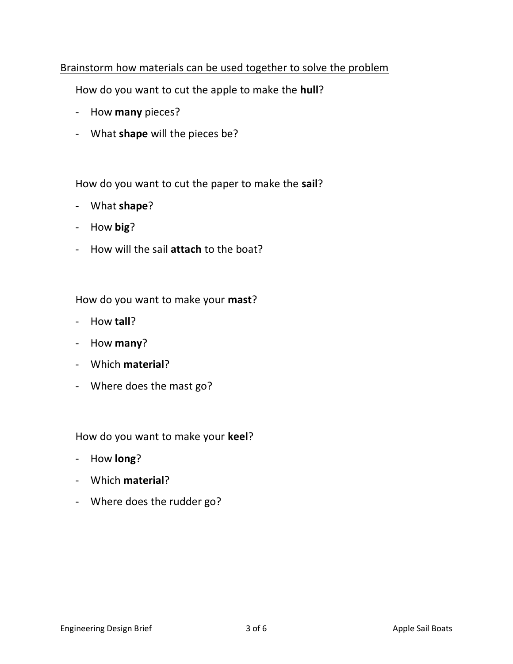## Brainstorm how materials can be used together to solve the problem

How do you want to cut the apple to make the **hull**?

- How **many** pieces?
- What **shape** will the pieces be?

How do you want to cut the paper to make the **sail**?

- What **shape**?
- How **big**?
- How will the sail **attach** to the boat?

How do you want to make your **mast**?

- How **tall**?
- How **many**?
- Which **material**?
- Where does the mast go?

How do you want to make your **keel**?

- How **long**?
- Which **material**?
- Where does the rudder go?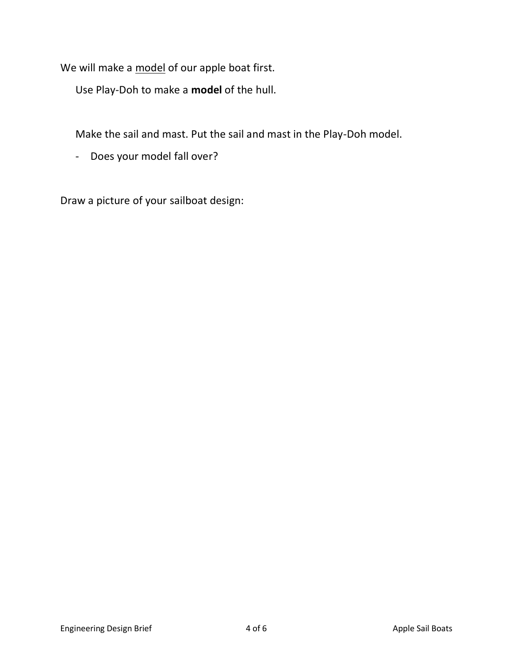We will make a model of our apple boat first.

Use Play-Doh to make a **model** of the hull.

Make the sail and mast. Put the sail and mast in the Play-Doh model.

- Does your model fall over?

Draw a picture of your sailboat design: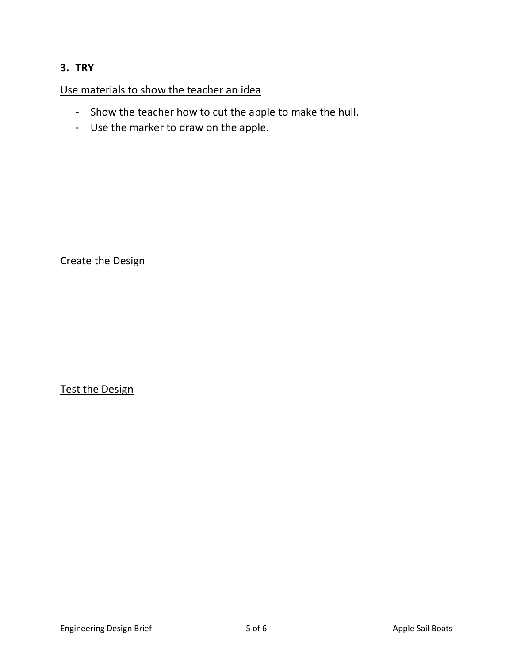## **3. TRY**

Use materials to show the teacher an idea

- Show the teacher how to cut the apple to make the hull.
- Use the marker to draw on the apple.

Create the Design

Test the Design